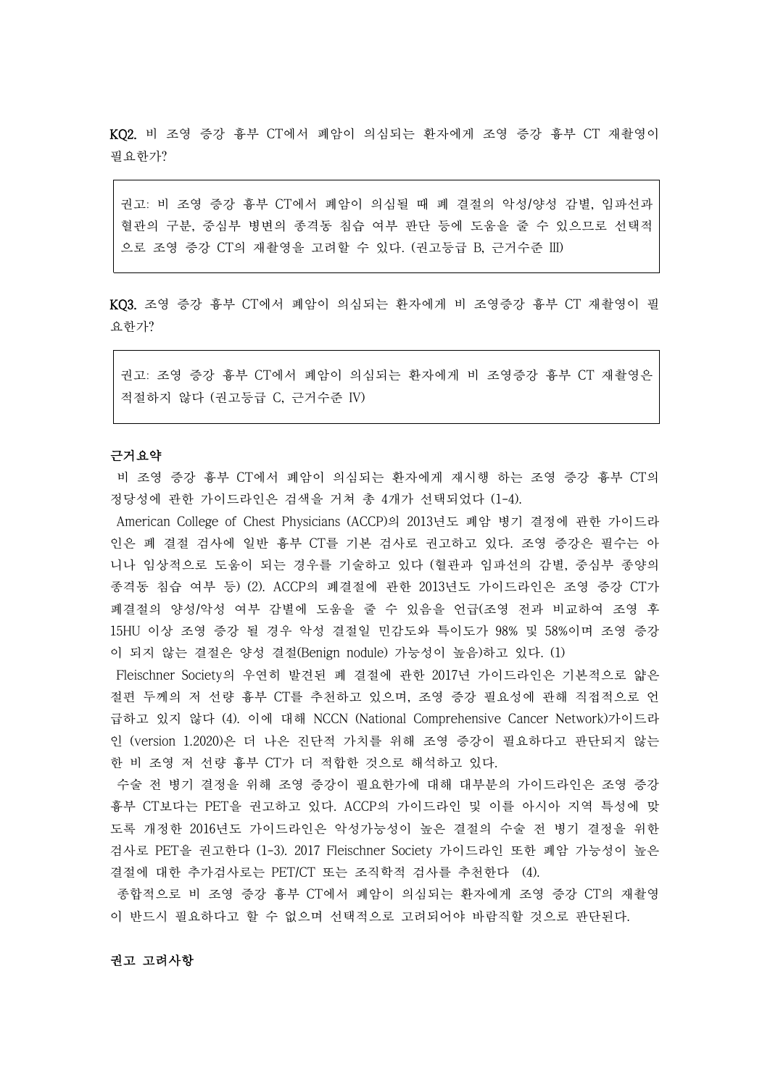KQ2. 비 조영 증강 흉부 CT에서 폐암이 의심되는 환자에게 조영 증강 흉부 CT 재촬영이 필요한가?

권고: 비 조영 증강 흉부 CT에서 폐암이 의심될 때 폐 결절의 악성/양성 감별, 임파선과 혈관의 구분, 중심부 병변의 종격동 침습 여부 판단 등에 도움을 줄 수 있으므로 선택적 으로 조영 증강 CT의 재촬영을 고려할 수 있다. (권고등급 B, 근거수준 III)

KQ3. 조영 증강 흉부 CT에서 폐암이 의심되는 환자에게 비 조영증강 흉부 CT 재촬영이 필 요한가?

권고: 조영 증강 흉부 CT에서 폐암이 의심되는 환자에게 비 조영증강 흉부 CT 재촬영은 적절하지 않다 (권고등급 C, 근거수준 IV)

## 근거요약

비 조영 증강 흉부 CT에서 폐암이 의심되는 환자에게 재시행 하는 조영 증강 흉부 CT의 정당성에 관한 가이드라인은 검색을 거쳐 총 4개가 선택되었다 (1-4).

American College of Chest Physicians (ACCP)의 2013년도 폐암 병기 결정에 관한 가이드라 인은 폐 결절 검사에 일반 흉부 CT를 기본 검사로 권고하고 있다. 조영 증강은 필수는 아 니나 임상적으로 도움이 되는 경우를 기술하고 있다 (혈관과 임파선의 감별, 중심부 종양의 종격동 침습 여부 등) (2). ACCP의 폐결절에 관한 2013년도 가이드라인은 조영 증강 CT가 폐결절의 양성/악성 여부 감별에 도움을 줄 수 있음을 언급(조영 전과 비교하여 조영 후 15HU 이상 조영 증강 될 경우 악성 결절일 민감도와 특이도가 98% 및 58%이며 조영 증강 이 되지 않는 결절은 양성 결절(Benign nodule) 가능성이 높음)하고 있다. (1)

Fleischner Society의 우연히 발견된 폐 결절에 관한 2017년 가이드라인은 기본적으로 얇은 절편 두께의 저 선량 흉부 CT를 추천하고 있으며, 조영 증강 필요성에 관해 직접적으로 언 급하고 있지 않다 (4). 이에 대해 NCCN (National Comprehensive Cancer Network)가이드라 인 (version 1.2020)은 더 나은 진단적 가치를 위해 조영 증강이 필요하다고 판단되지 않는 한 비 조영 저 선량 흉부 CT가 더 적합한 것으로 해석하고 있다.

수술 전 병기 결정을 위해 조영 증강이 필요한가에 대해 대부분의 가이드라인은 조영 증강 흉부 CT보다는 PET을 권고하고 있다. ACCP의 가이드라인 및 이를 아시아 지역 특성에 맞 도록 개정한 2016년도 가이드라인은 악성가능성이 높은 결절의 수술 전 병기 결정을 위한 검사로 PET을 권고한다 (1-3). 2017 Fleischner Society 가이드라인 또한 폐암 가능성이 높은 결절에 대한 추가검사로는 PET/CT 또는 조직학적 검사를 추천한다 (4).

종합적으로 비 조영 증강 흉부 CT에서 폐암이 의심되는 환자에게 조영 증강 CT의 재촬영 이 반드시 필요하다고 할 수 없으며 선택적으로 고려되어야 바람직할 것으로 판단된다.<br><br>**권고 고려사항**